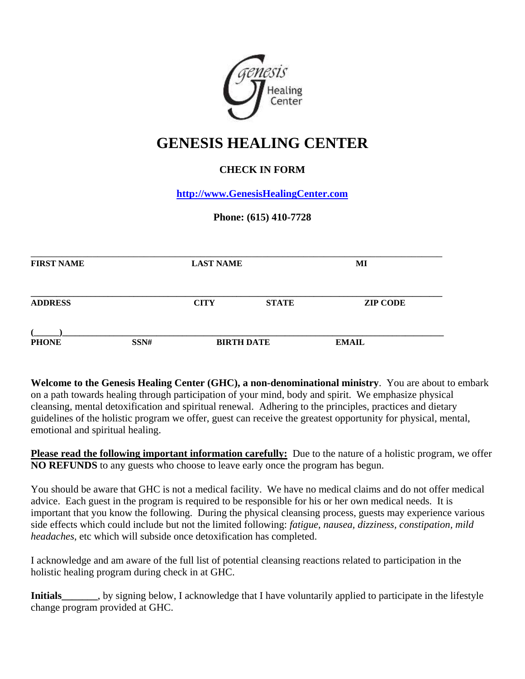

## **GENESIS HEALING CENTER**

## **CHECK IN FORM**

**[http://www.GenesisHealingCenter.com](http://www.genesishealingcenter.com/)**

## **Phone: (615) 410-7728**

| <b>FIRST NAME</b>    |  | <b>LAST NAME</b> |                   | MI              |  |
|----------------------|--|------------------|-------------------|-----------------|--|
| <b>ADDRESS</b>       |  | <b>CITY</b>      | <b>STATE</b>      | <b>ZIP CODE</b> |  |
| <b>PHONE</b><br>SSN# |  |                  | <b>BIRTH DATE</b> | <b>EMAIL</b>    |  |

**Welcome to the Genesis Healing Center (GHC), a non-denominational ministry**. You are about to embark on a path towards healing through participation of your mind, body and spirit. We emphasize physical cleansing, mental detoxification and spiritual renewal. Adhering to the principles, practices and dietary guidelines of the holistic program we offer, guest can receive the greatest opportunity for physical, mental, emotional and spiritual healing.

**Please read the following important information carefully:** Due to the nature of a holistic program, we offer **NO REFUNDS** to any guests who choose to leave early once the program has begun.

You should be aware that GHC is not a medical facility. We have no medical claims and do not offer medical advice. Each guest in the program is required to be responsible for his or her own medical needs. It is important that you know the following. During the physical cleansing process, guests may experience various side effects which could include but not the limited following: *fatigue, nausea, dizziness, constipation, mild headaches*, etc which will subside once detoxification has completed.

I acknowledge and am aware of the full list of potential cleansing reactions related to participation in the holistic healing program during check in at GHC.

**Initials**, by signing below, I acknowledge that I have voluntarily applied to participate in the lifestyle change program provided at GHC.